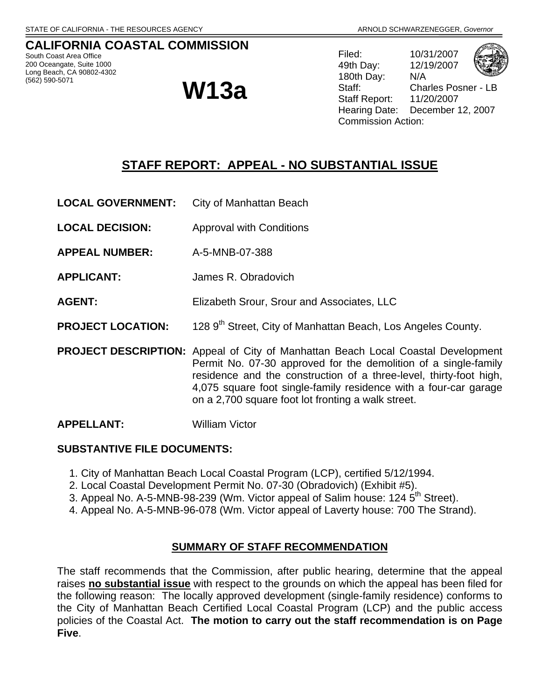#### **CALIFORNIA COASTAL COMMISSION**  South Coast Area Office

200 Oceangate, Suite 1000 Long Beach, CA 90802-4302<br>(562) 590-5071

# **W13a**

Filed: 10/31/2007 49th Day: 12/19/2007 180th Day: N/A Staff: Charles Posner - L Staff Report: 11/20/2007 Hearing Date: December 12, 2007 Commission Action:

# **STAFF REPORT: APPEAL - NO SUBSTANTIAL ISSUE**

- **LOCAL GOVERNMENT:** City of Manhattan Beach
- **LOCAL DECISION:** Approval with Conditions
- **APPEAL NUMBER:** A-5-MNB-07-388
- **APPLICANT:** James R. Obradovich
- **AGENT:** Elizabeth Srour, Srour and Associates, LLC
- **PROJECT LOCATION:** 128 9<sup>th</sup> Street, City of Manhattan Beach, Los Angeles County.
- **PROJECT DESCRIPTION:** Appeal of City of Manhattan Beach Local Coastal Development Permit No. 07-30 approved for the demolition of a single-family residence and the construction of a three-level, thirty-foot high, 4,075 square foot single-family residence with a four-car garage on a 2,700 square foot lot fronting a walk street.

#### **APPELLANT:** William Victor

#### **SUBSTANTIVE FILE DOCUMENTS:**

- 1. City of Manhattan Beach Local Coastal Program (LCP), certified 5/12/1994.
- 2. Local Coastal Development Permit No. 07-30 (Obradovich) (Exhibit #5).
- 3. Appeal No. A-5-MNB-98-239 (Wm. Victor appeal of Salim house: 124 5<sup>th</sup> Street).
- 4. Appeal No. A-5-MNB-96-078 (Wm. Victor appeal of Laverty house: 700 The Strand).

#### **SUMMARY OF STAFF RECOMMENDATION**

The staff recommends that the Commission, after public hearing, determine that the appeal raises **no substantial issue** with respect to the grounds on which the appeal has been filed for the following reason: The locally approved development (single-family residence) conforms to the City of Manhattan Beach Certified Local Coastal Program (LCP) and the public access policies of the Coastal Act. **The motion to carry out the staff recommendation is on Page Five**.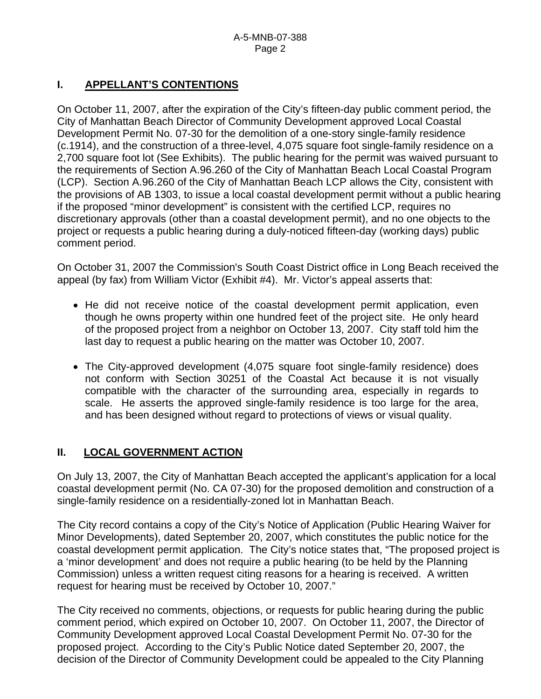# **I. APPELLANT'S CONTENTIONS**

On October 11, 2007, after the expiration of the City's fifteen-day public comment period, the City of Manhattan Beach Director of Community Development approved Local Coastal Development Permit No. 07-30 for the demolition of a one-story single-family residence (c.1914), and the construction of a three-level, 4,075 square foot single-family residence on a 2,700 square foot lot (See Exhibits). The public hearing for the permit was waived pursuant to the requirements of Section A.96.260 of the City of Manhattan Beach Local Coastal Program (LCP). Section A.96.260 of the City of Manhattan Beach LCP allows the City, consistent with the provisions of AB 1303, to issue a local coastal development permit without a public hearing if the proposed "minor development" is consistent with the certified LCP, requires no discretionary approvals (other than a coastal development permit), and no one objects to the project or requests a public hearing during a duly-noticed fifteen-day (working days) public comment period.

On October 31, 2007 the Commission's South Coast District office in Long Beach received the appeal (by fax) from William Victor (Exhibit #4). Mr. Victor's appeal asserts that:

- He did not receive notice of the coastal development permit application, even though he owns property within one hundred feet of the project site. He only heard of the proposed project from a neighbor on October 13, 2007. City staff told him the last day to request a public hearing on the matter was October 10, 2007.
- The City-approved development (4,075 square foot single-family residence) does not conform with Section 30251 of the Coastal Act because it is not visually compatible with the character of the surrounding area, especially in regards to scale. He asserts the approved single-family residence is too large for the area, and has been designed without regard to protections of views or visual quality.

# **II. LOCAL GOVERNMENT ACTION**

On July 13, 2007, the City of Manhattan Beach accepted the applicant's application for a local coastal development permit (No. CA 07-30) for the proposed demolition and construction of a single-family residence on a residentially-zoned lot in Manhattan Beach.

The City record contains a copy of the City's Notice of Application (Public Hearing Waiver for Minor Developments), dated September 20, 2007, which constitutes the public notice for the coastal development permit application. The City's notice states that, "The proposed project is a 'minor development' and does not require a public hearing (to be held by the Planning Commission) unless a written request citing reasons for a hearing is received. A written request for hearing must be received by October 10, 2007."

The City received no comments, objections, or requests for public hearing during the public comment period, which expired on October 10, 2007. On October 11, 2007, the Director of Community Development approved Local Coastal Development Permit No. 07-30 for the proposed project. According to the City's Public Notice dated September 20, 2007, the decision of the Director of Community Development could be appealed to the City Planning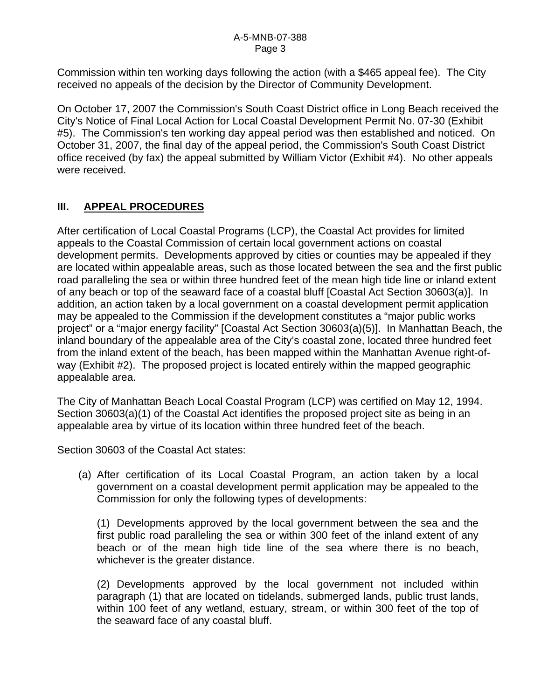Commission within ten working days following the action (with a \$465 appeal fee). The City received no appeals of the decision by the Director of Community Development.

On October 17, 2007 the Commission's South Coast District office in Long Beach received the City's Notice of Final Local Action for Local Coastal Development Permit No. 07-30 (Exhibit #5). The Commission's ten working day appeal period was then established and noticed. On October 31, 2007, the final day of the appeal period, the Commission's South Coast District office received (by fax) the appeal submitted by William Victor (Exhibit #4). No other appeals were received.

# **III. APPEAL PROCEDURES**

After certification of Local Coastal Programs (LCP), the Coastal Act provides for limited appeals to the Coastal Commission of certain local government actions on coastal development permits. Developments approved by cities or counties may be appealed if they are located within appealable areas, such as those located between the sea and the first public road paralleling the sea or within three hundred feet of the mean high tide line or inland extent of any beach or top of the seaward face of a coastal bluff [Coastal Act Section 30603(a)]. In addition, an action taken by a local government on a coastal development permit application may be appealed to the Commission if the development constitutes a "major public works project" or a "major energy facility" [Coastal Act Section 30603(a)(5)]. In Manhattan Beach, the inland boundary of the appealable area of the City's coastal zone, located three hundred feet from the inland extent of the beach, has been mapped within the Manhattan Avenue right-ofway (Exhibit #2). The proposed project is located entirely within the mapped geographic appealable area.

The City of Manhattan Beach Local Coastal Program (LCP) was certified on May 12, 1994. Section 30603(a)(1) of the Coastal Act identifies the proposed project site as being in an appealable area by virtue of its location within three hundred feet of the beach.

Section 30603 of the Coastal Act states:

 (a) After certification of its Local Coastal Program, an action taken by a local government on a coastal development permit application may be appealed to the Commission for only the following types of developments:

 (1) Developments approved by the local government between the sea and the first public road paralleling the sea or within 300 feet of the inland extent of any beach or of the mean high tide line of the sea where there is no beach, whichever is the greater distance.

 (2) Developments approved by the local government not included within paragraph (1) that are located on tidelands, submerged lands, public trust lands, within 100 feet of any wetland, estuary, stream, or within 300 feet of the top of the seaward face of any coastal bluff.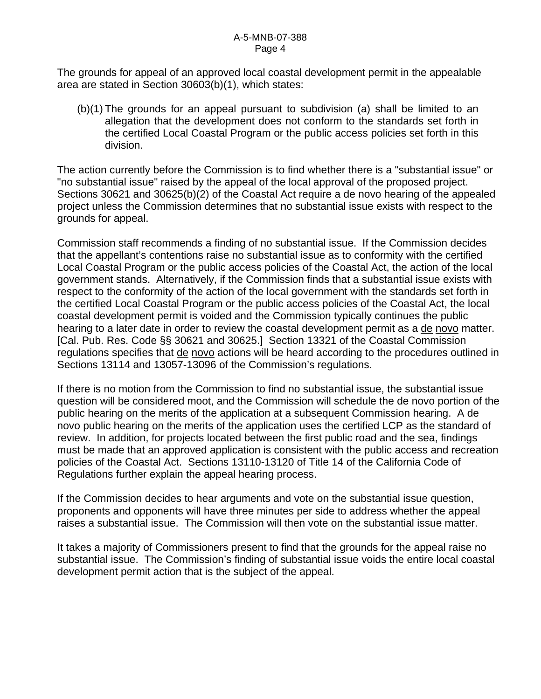#### A-5-MNB-07-388 Page 4

The grounds for appeal of an approved local coastal development permit in the appealable area are stated in Section 30603(b)(1), which states:

 (b)(1) The grounds for an appeal pursuant to subdivision (a) shall be limited to an allegation that the development does not conform to the standards set forth in the certified Local Coastal Program or the public access policies set forth in this division.

The action currently before the Commission is to find whether there is a "substantial issue" or "no substantial issue" raised by the appeal of the local approval of the proposed project. Sections 30621 and 30625(b)(2) of the Coastal Act require a de novo hearing of the appealed project unless the Commission determines that no substantial issue exists with respect to the grounds for appeal.

Commission staff recommends a finding of no substantial issue. If the Commission decides that the appellant's contentions raise no substantial issue as to conformity with the certified Local Coastal Program or the public access policies of the Coastal Act, the action of the local government stands. Alternatively, if the Commission finds that a substantial issue exists with respect to the conformity of the action of the local government with the standards set forth in the certified Local Coastal Program or the public access policies of the Coastal Act, the local coastal development permit is voided and the Commission typically continues the public hearing to a later date in order to review the coastal development permit as a de novo matter. [Cal. Pub. Res. Code §§ 30621 and 30625.] Section 13321 of the Coastal Commission regulations specifies that de novo actions will be heard according to the procedures outlined in Sections 13114 and 13057-13096 of the Commission's regulations.

If there is no motion from the Commission to find no substantial issue, the substantial issue question will be considered moot, and the Commission will schedule the de novo portion of the public hearing on the merits of the application at a subsequent Commission hearing. A de novo public hearing on the merits of the application uses the certified LCP as the standard of review. In addition, for projects located between the first public road and the sea, findings must be made that an approved application is consistent with the public access and recreation policies of the Coastal Act. Sections 13110-13120 of Title 14 of the California Code of Regulations further explain the appeal hearing process.

If the Commission decides to hear arguments and vote on the substantial issue question, proponents and opponents will have three minutes per side to address whether the appeal raises a substantial issue. The Commission will then vote on the substantial issue matter.

It takes a majority of Commissioners present to find that the grounds for the appeal raise no substantial issue. The Commission's finding of substantial issue voids the entire local coastal development permit action that is the subject of the appeal.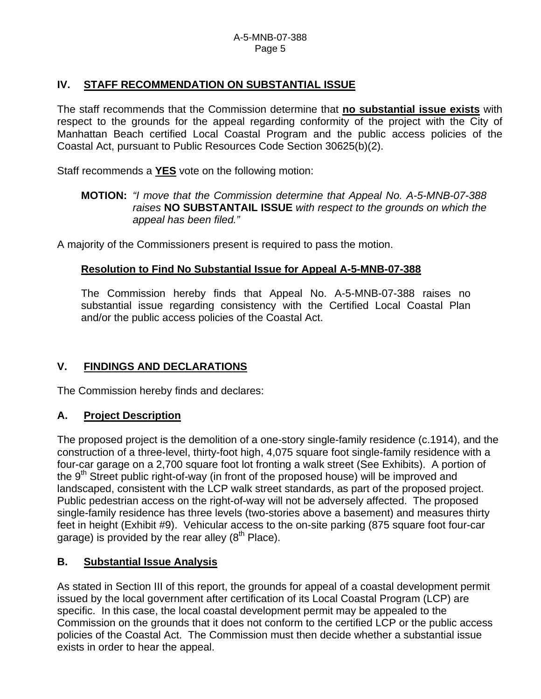# **IV. STAFF RECOMMENDATION ON SUBSTANTIAL ISSUE**

The staff recommends that the Commission determine that **no substantial issue exists** with respect to the grounds for the appeal regarding conformity of the project with the City of Manhattan Beach certified Local Coastal Program and the public access policies of the Coastal Act, pursuant to Public Resources Code Section 30625(b)(2).

Staff recommends a **YES** vote on the following motion:

#### **MOTION:** *"I move that the Commission determine that Appeal No. A-5-MNB-07-388 raises* **NO SUBSTANTAIL ISSUE** *with respect to the grounds on which the appeal has been filed."*

A majority of the Commissioners present is required to pass the motion.

# **Resolution to Find No Substantial Issue for Appeal A-5-MNB-07-388**

The Commission hereby finds that Appeal No. A-5-MNB-07-388 raises no substantial issue regarding consistency with the Certified Local Coastal Plan and/or the public access policies of the Coastal Act.

# **V. FINDINGS AND DECLARATIONS**

The Commission hereby finds and declares:

# **A. Project Description**

The proposed project is the demolition of a one-story single-family residence (c.1914), and the construction of a three-level, thirty-foot high, 4,075 square foot single-family residence with a four-car garage on a 2,700 square foot lot fronting a walk street (See Exhibits). A portion of the  $9<sup>th</sup>$  Street public right-of-way (in front of the proposed house) will be improved and landscaped, consistent with the LCP walk street standards, as part of the proposed project. Public pedestrian access on the right-of-way will not be adversely affected. The proposed single-family residence has three levels (two-stories above a basement) and measures thirty feet in height (Exhibit #9). Vehicular access to the on-site parking (875 square foot four-car garage) is provided by the rear alley  $(8<sup>th</sup>$  Place).

# **B. Substantial Issue Analysis**

As stated in Section III of this report, the grounds for appeal of a coastal development permit issued by the local government after certification of its Local Coastal Program (LCP) are specific. In this case, the local coastal development permit may be appealed to the Commission on the grounds that it does not conform to the certified LCP or the public access policies of the Coastal Act. The Commission must then decide whether a substantial issue exists in order to hear the appeal.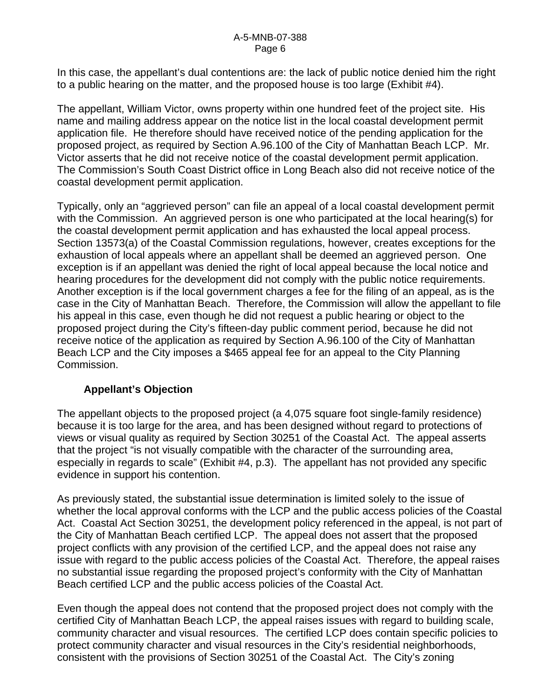In this case, the appellant's dual contentions are: the lack of public notice denied him the right to a public hearing on the matter, and the proposed house is too large (Exhibit #4).

The appellant, William Victor, owns property within one hundred feet of the project site. His name and mailing address appear on the notice list in the local coastal development permit application file. He therefore should have received notice of the pending application for the proposed project, as required by Section A.96.100 of the City of Manhattan Beach LCP. Mr. Victor asserts that he did not receive notice of the coastal development permit application. The Commission's South Coast District office in Long Beach also did not receive notice of the coastal development permit application.

Typically, only an "aggrieved person" can file an appeal of a local coastal development permit with the Commission. An aggrieved person is one who participated at the local hearing(s) for the coastal development permit application and has exhausted the local appeal process. Section 13573(a) of the Coastal Commission regulations, however, creates exceptions for the exhaustion of local appeals where an appellant shall be deemed an aggrieved person. One exception is if an appellant was denied the right of local appeal because the local notice and hearing procedures for the development did not comply with the public notice requirements. Another exception is if the local government charges a fee for the filing of an appeal, as is the case in the City of Manhattan Beach. Therefore, the Commission will allow the appellant to file his appeal in this case, even though he did not request a public hearing or object to the proposed project during the City's fifteen-day public comment period, because he did not receive notice of the application as required by Section A.96.100 of the City of Manhattan Beach LCP and the City imposes a \$465 appeal fee for an appeal to the City Planning Commission.

# **Appellant's Objection**

The appellant objects to the proposed project (a 4,075 square foot single-family residence) because it is too large for the area, and has been designed without regard to protections of views or visual quality as required by Section 30251 of the Coastal Act. The appeal asserts that the project "is not visually compatible with the character of the surrounding area, especially in regards to scale" (Exhibit #4, p.3). The appellant has not provided any specific evidence in support his contention.

As previously stated, the substantial issue determination is limited solely to the issue of whether the local approval conforms with the LCP and the public access policies of the Coastal Act. Coastal Act Section 30251, the development policy referenced in the appeal, is not part of the City of Manhattan Beach certified LCP. The appeal does not assert that the proposed project conflicts with any provision of the certified LCP, and the appeal does not raise any issue with regard to the public access policies of the Coastal Act. Therefore, the appeal raises no substantial issue regarding the proposed project's conformity with the City of Manhattan Beach certified LCP and the public access policies of the Coastal Act.

Even though the appeal does not contend that the proposed project does not comply with the certified City of Manhattan Beach LCP, the appeal raises issues with regard to building scale, community character and visual resources. The certified LCP does contain specific policies to protect community character and visual resources in the City's residential neighborhoods, consistent with the provisions of Section 30251 of the Coastal Act. The City's zoning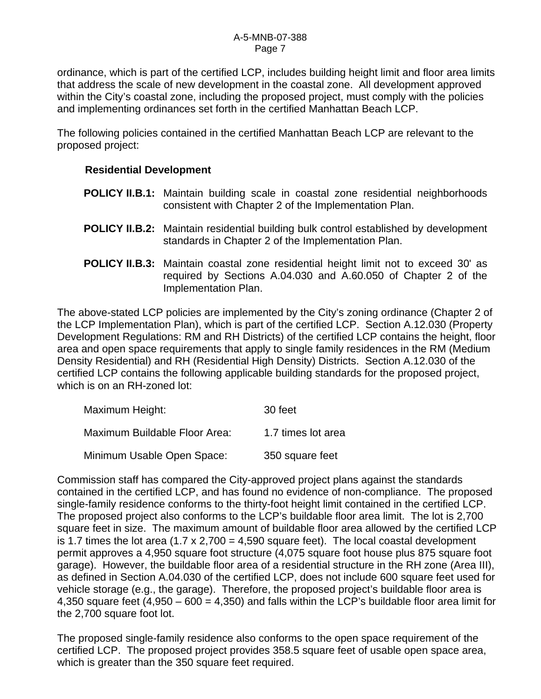ordinance, which is part of the certified LCP, includes building height limit and floor area limits that address the scale of new development in the coastal zone. All development approved within the City's coastal zone, including the proposed project, must comply with the policies and implementing ordinances set forth in the certified Manhattan Beach LCP.

The following policies contained in the certified Manhattan Beach LCP are relevant to the proposed project:

#### **Residential Development**

- **POLICY II.B.1:** Maintain building scale in coastal zone residential neighborhoods consistent with Chapter 2 of the Implementation Plan.
- **POLICY II.B.2:** Maintain residential building bulk control established by development standards in Chapter 2 of the Implementation Plan.
- **POLICY II.B.3:** Maintain coastal zone residential height limit not to exceed 30' as required by Sections A.04.030 and A.60.050 of Chapter 2 of the Implementation Plan.

The above-stated LCP policies are implemented by the City's zoning ordinance (Chapter 2 of the LCP Implementation Plan), which is part of the certified LCP. Section A.12.030 (Property Development Regulations: RM and RH Districts) of the certified LCP contains the height, floor area and open space requirements that apply to single family residences in the RM (Medium Density Residential) and RH (Residential High Density) Districts. Section A.12.030 of the certified LCP contains the following applicable building standards for the proposed project, which is on an RH-zoned lot:

| Maximum Height:               | 30 feet            |
|-------------------------------|--------------------|
| Maximum Buildable Floor Area: | 1.7 times lot area |
| Minimum Usable Open Space:    | 350 square feet    |

Commission staff has compared the City-approved project plans against the standards contained in the certified LCP, and has found no evidence of non-compliance. The proposed single-family residence conforms to the thirty-foot height limit contained in the certified LCP. The proposed project also conforms to the LCP's buildable floor area limit. The lot is 2,700 square feet in size. The maximum amount of buildable floor area allowed by the certified LCP is 1.7 times the lot area  $(1.7 \times 2,700 = 4,590$  square feet). The local coastal development permit approves a 4,950 square foot structure (4,075 square foot house plus 875 square foot garage). However, the buildable floor area of a residential structure in the RH zone (Area III), as defined in Section A.04.030 of the certified LCP, does not include 600 square feet used for vehicle storage (e.g., the garage). Therefore, the proposed project's buildable floor area is 4,350 square feet (4,950 – 600 = 4,350) and falls within the LCP's buildable floor area limit for the 2,700 square foot lot.

The proposed single-family residence also conforms to the open space requirement of the certified LCP. The proposed project provides 358.5 square feet of usable open space area, which is greater than the 350 square feet required.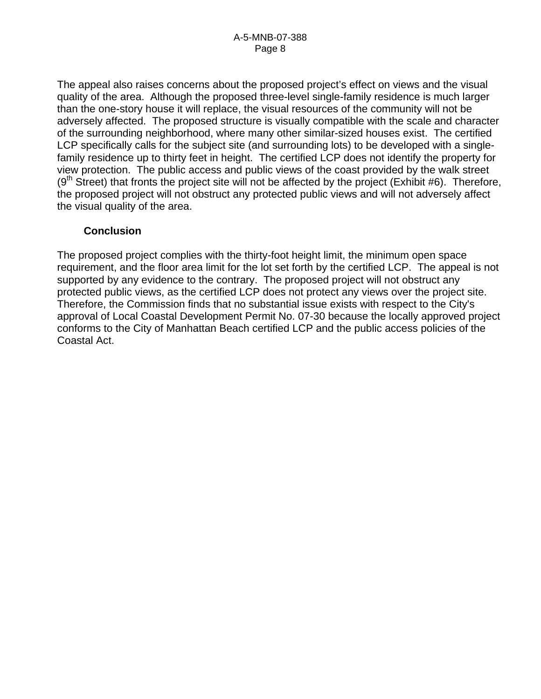The appeal also raises concerns about the proposed project's effect on views and the visual quality of the area. Although the proposed three-level single-family residence is much larger than the one-story house it will replace, the visual resources of the community will not be adversely affected. The proposed structure is visually compatible with the scale and character of the surrounding neighborhood, where many other similar-sized houses exist. The certified LCP specifically calls for the subject site (and surrounding lots) to be developed with a singlefamily residence up to thirty feet in height. The certified LCP does not identify the property for view protection. The public access and public views of the coast provided by the walk street  $(9<sup>th</sup> Street)$  that fronts the project site will not be affected by the project (Exhibit #6). Therefore, the proposed project will not obstruct any protected public views and will not adversely affect the visual quality of the area.

#### **Conclusion**

The proposed project complies with the thirty-foot height limit, the minimum open space requirement, and the floor area limit for the lot set forth by the certified LCP. The appeal is not supported by any evidence to the contrary. The proposed project will not obstruct any protected public views, as the certified LCP does not protect any views over the project site. Therefore, the Commission finds that no substantial issue exists with respect to the City's approval of Local Coastal Development Permit No. 07-30 because the locally approved project conforms to the City of Manhattan Beach certified LCP and the public access policies of the Coastal Act.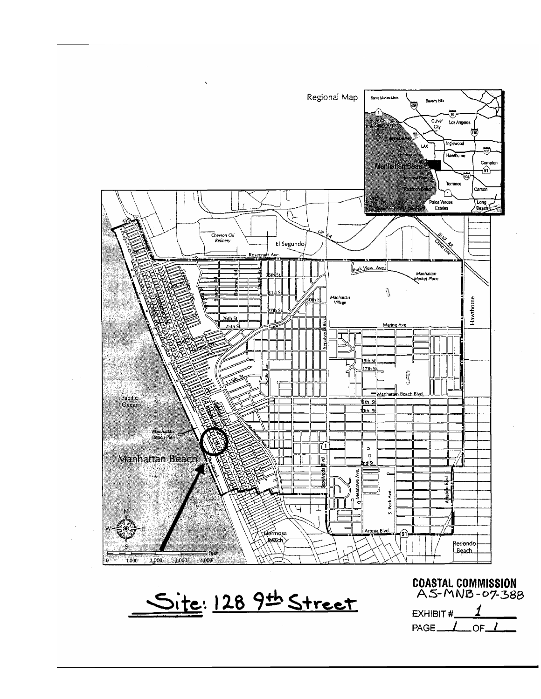

<u>Site: 128 9th Street</u>

COASTAL COMMISSION<br>AS-MNB-07-388

1 EXHIBIT #  $\overline{\mathcal{L}}$ PAGE\_  $OF<sub>-</sub>$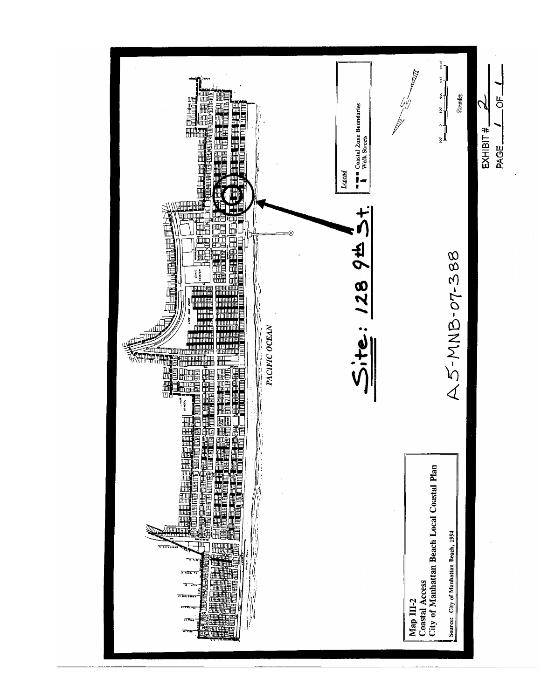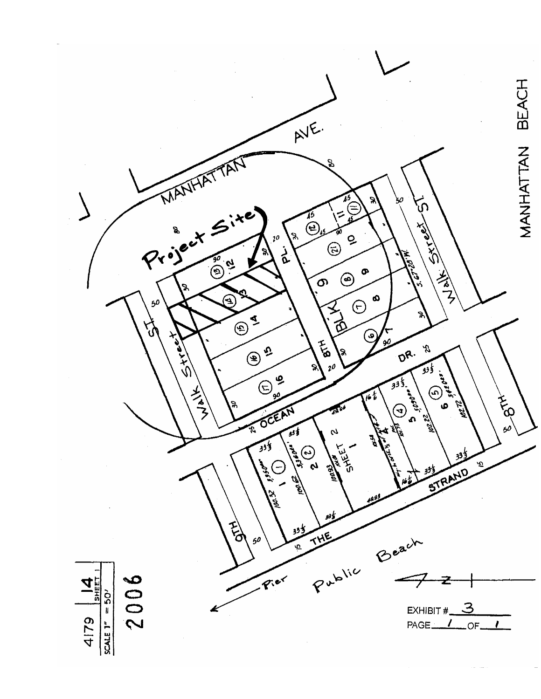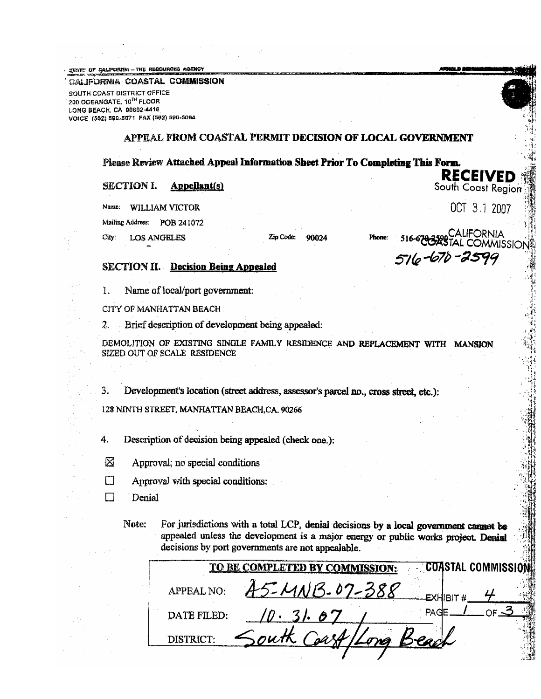STATE OF CALIFORNIA - THE RESOURCES AGENCY

CALIFORNIA COASTAL COMMISSION

SOUTH COAST DISTRICT OFFICE 200 OCEANGATE, 10<sup>7H</sup> FLOOR LONG BEACH, CA 90802-4416 VOICE (582) 590-5071 PAX (582) 590-5084

#### appeal from coastal permit decision of local government

#### Please Review Attached Appeal Information Sheet Prior To Completing This Form.

#### **SECTION I. Appellant(s)**

Name: WILLIAM VICTOR

Mailing Address: POB 241072

City: **LOS ANGELES**  Zip Code: 90024

`ALIFORNIA<br>AL COMMISSION Phone: 516-670-2599

**RECEIVED** 

South Coast Region

OCT 3.1 2007

#### **SECTION II.** Decision Being Appealed

1. Name of local/port government:

CITY OF MANHATTAN BEACH

2. Brief description of development being appealed:

DEMOLITION OF EXISTING SINGLE FAMILY RESIDENCE AND REPLACEMENT WITH MANSION SIZED OUT OF SCALE RESIDENCE

3. Development's location (street address, assessor's parcel no., cross street, etc.):

128 NINTH STREET, MANHATTAN BEACH, CA. 90266

4. Description of decision being appealed (check one.):

- ⊠ Approval; no special conditions
- Ω Approval with special conditions:
- П Denial

For jurisdictions with a total LCP, denial decisions by a local government cannot be Note: appealed unless the development is a major energy or public works project. Denial decisions by port governments are not appealable.

|             | TO BE COMPLETED BY COMMISSION: |            | <b>COASTAL COMMISSION!</b> |
|-------------|--------------------------------|------------|----------------------------|
| APPEAL NO:  | $24113.07 - 388$               |            |                            |
| DATE FILED: |                                |            |                            |
| DISTRICT:   | outh                           | Long Beach |                            |
|             |                                |            |                            |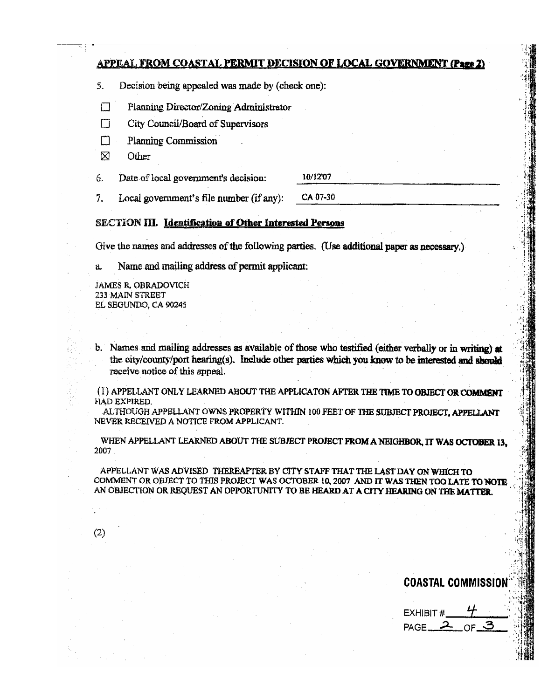#### **APPEAL FROM COASTAL PERMIT DECISION OF LOCAL GOVERNMENT (Page 2)**

- 5. Decision being appealed was made by (check one):
- $\Box$ Planning Director/Zoning Administrator
- П City Council/Board of Supervisors
- M **Planning Commission**
- X Other

10/12'07 6. Date of local government's decision:

CA 07-30  $7<sup>1</sup>$ Local government's file number (if any):

#### SECTION III. Identification of Other Interested Persons

Give the names and addresses of the following parties. (Use additional paper as necessary.)

Name and mailing address of permit applicant: a.

**JAMES R. OBRADOVICH** 233 MAIN STREET EL SEGUNDO, CA 90245

 $(2)$ 

b. Names and mailing addresses as available of those who testified (either verbally or in writing) at the city/county/port hearing(s). Include other parties which you know to be interested and should receive notice of this appeal.

(1) APPELLANT ONLY LEARNED ABOUT THE APPLICATON AFTER THE TIME TO OBJECT OR COMMENT HAD EXPIRED.

ALTHOUGH APPELLANT OWNS PROPERTY WITHIN 100 FEET OF THE SUBJECT PROJECT, APPELLANT NEVER RECEIVED A NOTICE FROM APPLICANT.

WHEN APPELLANT LEARNED ABOUT THE SUBJECT PROJECT FROM A NEIGHBOR, IT WAS OCTOBER 13, 2007.

APPELLANT WAS ADVISED THEREAFTER BY CITY STAFF THAT THE LAST DAY ON WHICH TO COMMENT OR OBJECT TO THIS PROJECT WAS OCTOBER 10, 2007 AND IT WAS THEN TOO LATE TO NOTE AN OBJECTION OR REQUEST AN OPPORTUNITY TO BE HEARD AT A CITY HEARING ON THE MATTER.

**COASTAL COMMISSION** 

EXHIBIT# PAGE\_ ΩF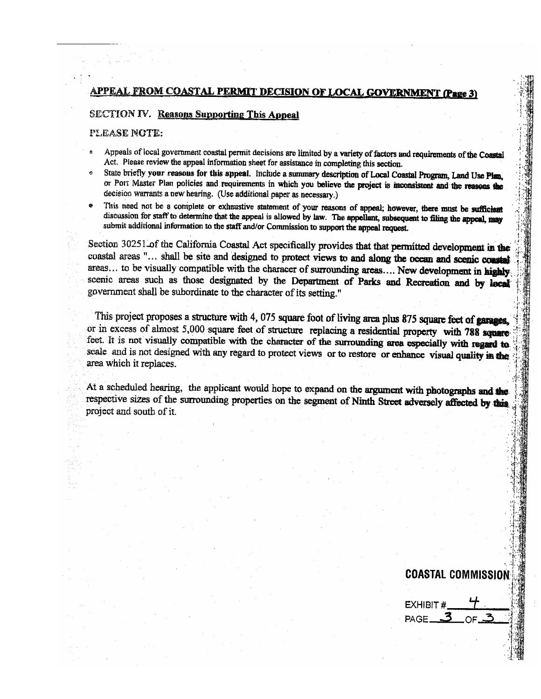#### FROM COASTAL PERMIT DECISION OF LOCAL GOVERNME APPEAI

#### **SECTION IV. Reasons Supporting This Appeal**

#### PLEASE NOTE:

- Appeals of local government coastal permit decisions are limited by a variety of factors and requirements of the Coastal Act. Please review the appeal information sheet for assistance in completing this section.
- State briefly your reasons for this appeal. Include a summary description of Local Coastal Program, Land Use Plan. or Port Master Plan policies and requirements in which you believe the project is inconsistent and the reasons the decision warrants a new hearing. (Use additional paper as necessary.)
- This need not be a complete or exhaustive statement of your reasons of appeal; however, there must be sufficient discussion for staff to determine that the appeal is allowed by law. The appellant, subsequent to filing the appeal, may submit additional information to the staff and/or Commission to support the appeal request.

Section 30251 of the California Coastal Act specifically provides that that permitted development in the coastal areas "... shall be site and designed to protect views to and along the ocean and scenic coastal areas... to be visually compatible with the characer of surrounding areas.... New development in highly. scenic areas such as those designated by the Department of Parks and Recreation and by local government shall be subordinate to the character of its setting."

This project proposes a structure with 4, 075 square foot of living area plus 875 square feet of garages, or in excess of almost 5,000 square feet of structure replacing a residential property with 788 square feet. It is not visually compatible with the character of the surrounding area especially with regard to scale and is not designed with any regard to protect views or to restore or enhance visual quality in the area which it replaces.

At a scheduled hearing, the applicant would hope to expand on the argument with photographs and the respective sizes of the surrounding properties on the segment of Ninth Street adversely affected by this project and south of it.

**COASTAL COMMISSION** EXHIBIT # PAGE\_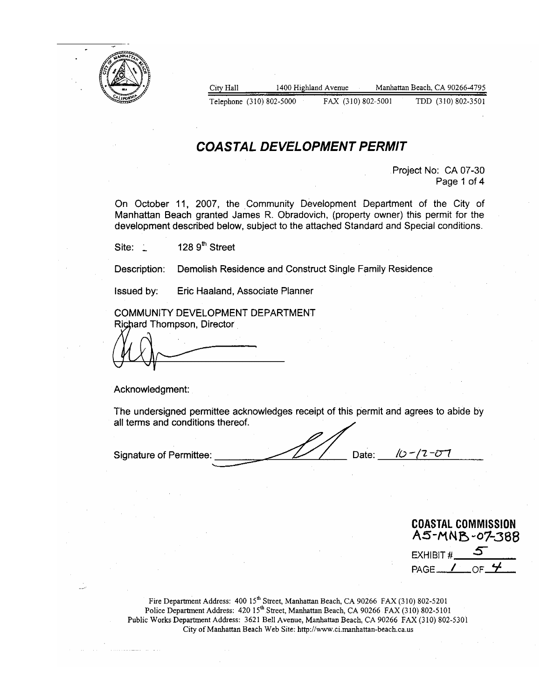

City Hall 1400 Highland Avenue Manhattan Beach, CA 90266-4795 Telephone (310) 802-5000 FAX (310) 802-5001 TDD (310) 802-3501

# **COASTAL DEVELOPMENT PERMIT**

Project No: CA 07-30 Page 1 of 4

On October 11, 2007, the Community Development Department of the City of Manhattan Beach granted James R. Obradovich, (property owner) this permit for the development described below, subject to the attached Standard and Special conditions.

128 9<sup>th</sup> Street Site:

Demolish Residence and Construct Single Family Residence Description:

Issued by:

Eric Haaland, Associate Planner

COMMUNITY DEVELOPMENT DEPARTMENT Richard Thompson, Director

Acknowledgment:

The undersigned permittee acknowledges receipt of this permit and agrees to abide by all terms and conditions thereof.

ID - IZ - T **Signature of Permittee** Date:

**COASTAL COMMISSION** A5-MNB-07-388 EXHIBIT # PAGE\_

Fire Department Address: 400 15<sup>th</sup> Street, Manhattan Beach, CA 90266 FAX (310) 802-5201 Police Department Address: 420 15<sup>th</sup> Street, Manhattan Beach, CA 90266 FAX (310) 802-5101 Public Works Department Address: 3621 Bell Avenue, Manhattan Beach, CA 90266 FAX (310) 802-5301 City of Manhattan Beach Web Site: http://www.ci.manhattan-beach.ca.us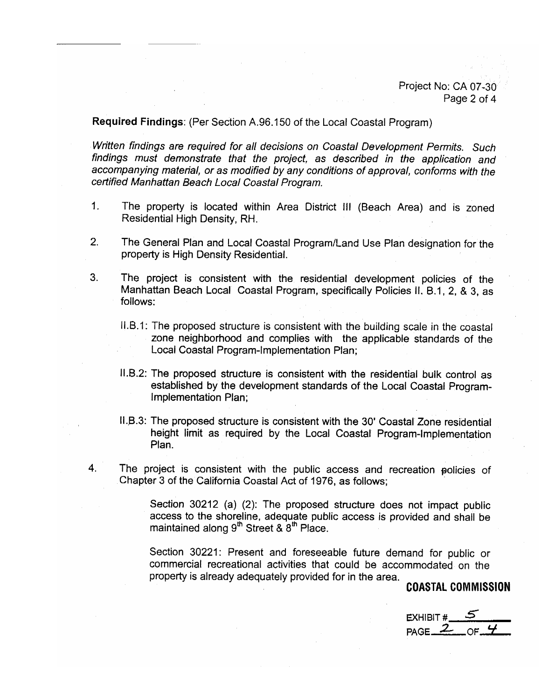Project No: CA 07-30 Page 2 of 4

Required Findings: (Per Section A.96.150 of the Local Coastal Program)

Written findings are required for all decisions on Coastal Development Permits. Such findings must demonstrate that the project, as described in the application and accompanying material, or as modified by any conditions of approval, conforms with the certified Manhattan Beach Local Coastal Program.

- $1<sub>1</sub>$ The property is located within Area District III (Beach Area) and is zoned Residential High Density, RH.
- $2.$ The General Plan and Local Coastal Program/Land Use Plan designation for the property is High Density Residential.
- 3. The project is consistent with the residential development policies of the Manhattan Beach Local Coastal Program, specifically Policies II, B.1, 2, & 3, as follows:
	- II.B.1: The proposed structure is consistent with the building scale in the coastal zone neighborhood and complies with the applicable standards of the Local Coastal Program-Implementation Plan;
	- II.B.2: The proposed structure is consistent with the residential bulk control as established by the development standards of the Local Coastal Program-Implementation Plan;
	- II.B.3: The proposed structure is consistent with the 30' Coastal Zone residential height limit as required by the Local Coastal Program-Implementation Plan.
- 4. The project is consistent with the public access and recreation policies of Chapter 3 of the California Coastal Act of 1976, as follows;

Section 30212 (a) (2): The proposed structure does not impact public access to the shoreline, adequate public access is provided and shall be maintained along 9<sup>th</sup> Street & 8<sup>th</sup> Place.

Section 30221: Present and foreseeable future demand for public or commercial recreational activities that could be accommodated on the property is already adequately provided for in the area.

**COASTAL COMMISSION** 

EXHIBIT #  $PAGE_2$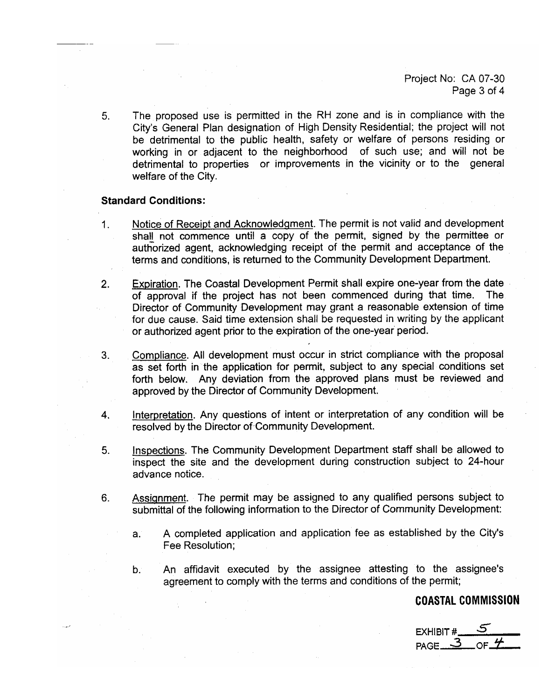Project No: CA 07-30 Page 3 of 4

The proposed use is permitted in the RH zone and is in compliance with the  $5.$ City's General Plan designation of High Density Residential; the project will not be detrimental to the public health, safety or welfare of persons residing or working in or adjacent to the neighborhood of such use; and will not be detrimental to properties or improvements in the vicinity or to the general welfare of the City.

#### **Standard Conditions:**

- Notice of Receipt and Acknowledgment. The permit is not valid and development  $1.$ shall not commence until a copy of the permit, signed by the permittee or authorized agent, acknowledging receipt of the permit and acceptance of the terms and conditions, is returned to the Community Development Department.
- **Expiration.** The Coastal Development Permit shall expire one-year from the date  $2.$ of approval if the project has not been commenced during that time. The: Director of Community Development may grant a reasonable extension of time for due cause. Said time extension shall be requested in writing by the applicant or authorized agent prior to the expiration of the one-year period.
- Compliance. All development must occur in strict compliance with the proposal  $3.$ as set forth in the application for permit, subject to any special conditions set forth below. Any deviation from the approved plans must be reviewed and approved by the Director of Community Development.
- Interpretation. Any questions of intent or interpretation of any condition will be 4. resolved by the Director of Community Development.
- Inspections. The Community Development Department staff shall be allowed to 5. inspect the site and the development during construction subject to 24-hour advance notice.
- Assignment. The permit may be assigned to any qualified persons subject to  $6.$ submittal of the following information to the Director of Community Development:
	- A completed application and application fee as established by the City's  $a^{\dagger}$ Fee Resolution:
	- An affidavit executed by the assignee attesting to the assignee's  $b.$ agreement to comply with the terms and conditions of the permit;

**COASTAL COMMISSION** 

 $_{\sf PAGE}$  3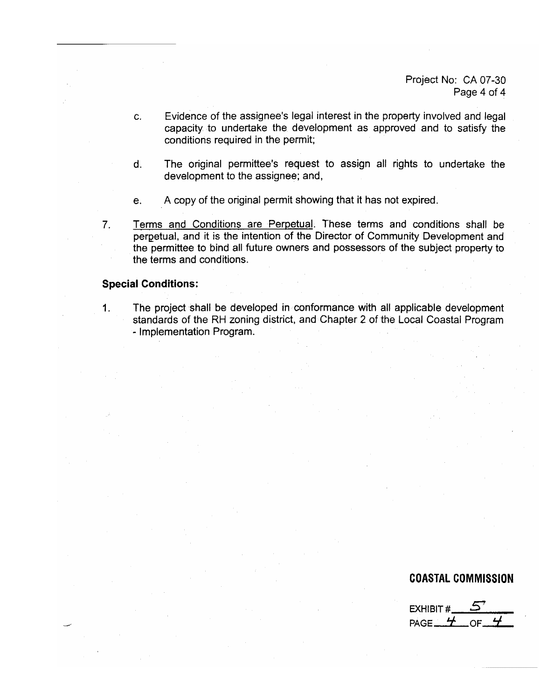Project No: CA 07-30 Page 4 of 4

- C. Evidence of the assignee's legal interest in the property involved and legal capacity to undertake the development as approved and to satisfy the conditions required in the permit;
- The original permittee's request to assign all rights to undertake the  $\mathsf{d}$ . development to the assignee; and,
- A copy of the original permit showing that it has not expired. e.
- Terms and Conditions are Perpetual. These terms and conditions shall be  $7<sub>1</sub>$ perpetual, and it is the intention of the Director of Community Development and the permittee to bind all future owners and possessors of the subject property to the terms and conditions.

#### **Special Conditions:**

 $1.$ The project shall be developed in conformance with all applicable development standards of the RH zoning district, and Chapter 2 of the Local Coastal Program - Implementation Program.

#### **COASTAL COMMISSION**

EXHIBIT # PAGE<sub> $-$ </sub>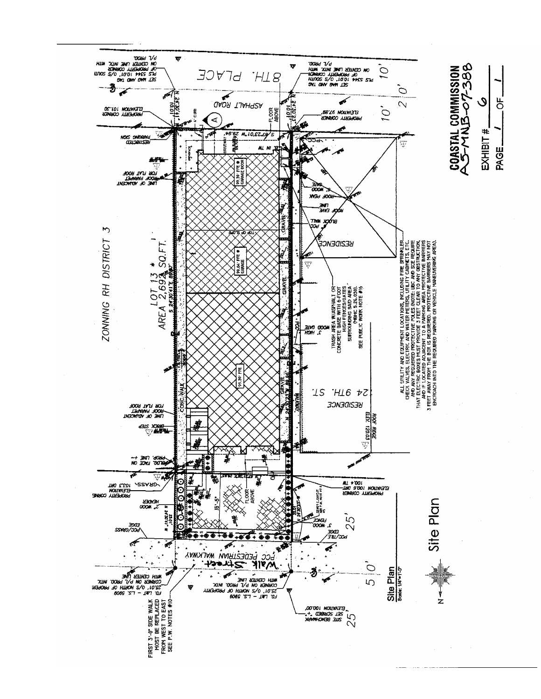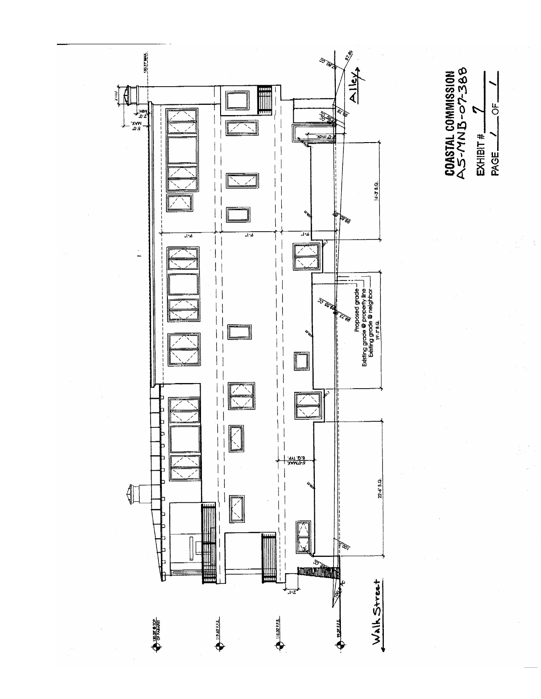

COASTAL COMMISSION<br>AS-MNB-07-388  $\overline{5}$  $EXHIBIT#$ PAGE\_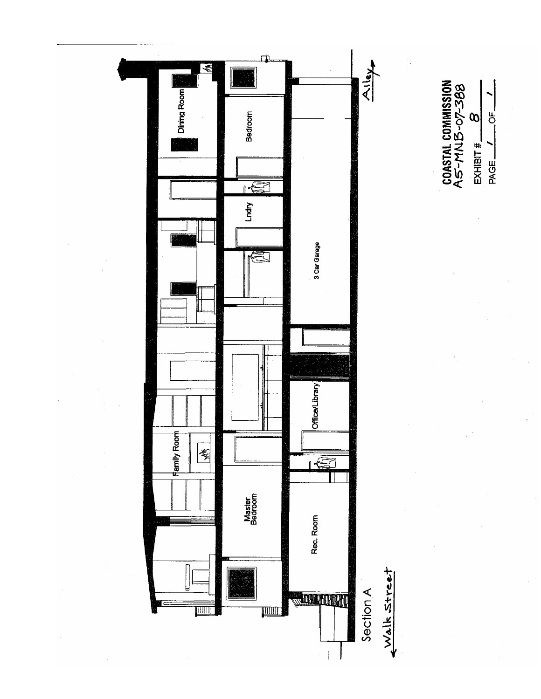

COASTAL COMMISSION<br>A5-MNB-07-388  $rac{1}{\sqrt{2}}$  $\infty$  $EXHBT+1$ PAGE\_